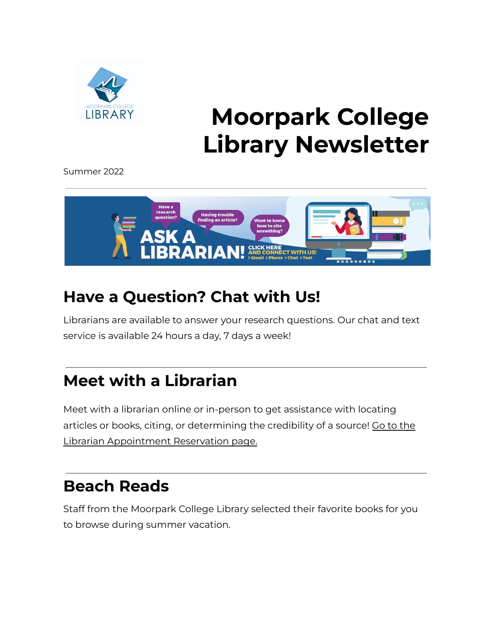

### **Moorpark College Library Newsletter**

Summer 2022



#### **Have a Question? Chat with Us!**

Librarians are available to answer your research questions. Our chat and text service is available 24 hours a day, 7 days a week!

#### **Meet with a Librarian**

Meet with a librarian online or in-person to get assistance with locating articles or books, citing, or determining the credibility of a source! Go to [the](https://moorparkcollege.libcal.com/appointments) Librarian [Appointment](https://moorparkcollege.libcal.com/appointments) Reservation page.

#### **Beach Reads**

Staff from the Moorpark College Library selected their favorite books for you to browse during summer vacation.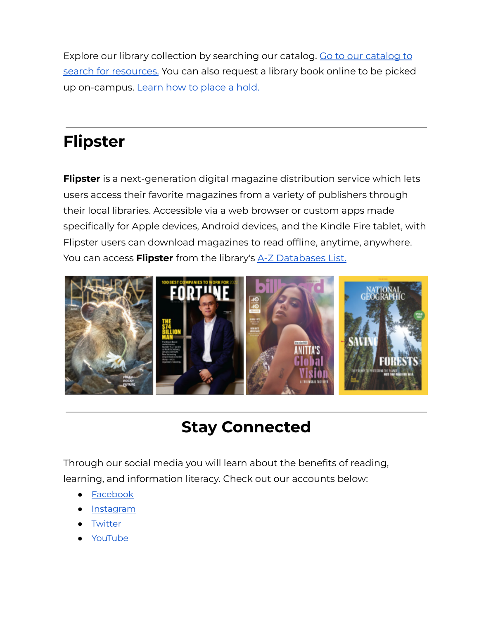Explore our library collection by searching our [catalog](https://caccl-moorpark.primo.exlibrisgroup.com/discovery/search?vid=01CACCL_MOORPARK:MOORPARK&lang=en). Go to our catalog to search for [resources.](https://caccl-moorpark.primo.exlibrisgroup.com/discovery/search?vid=01CACCL_MOORPARK:MOORPARK&lang=en) You can also request a library book online to be picked up on-campus. [Learn](https://moorparkcollege.libguides.com/StudentGuide/Holds) how to place a hold.

#### **Flipster**

**Flipster** is a next-generation digital magazine distribution service which lets users access their favorite magazines from a variety of publishers through their local libraries. Accessible via a web browser or custom apps made specifically for Apple devices, Android devices, and the Kindle Fire tablet, with Flipster users can download magazines to read offline, anytime, anywhere. You can access **[Flipster](https://proxymc.vcccd.edu/login?url=https://search.ebscohost.com/login.aspx?authtype=ip,uid&custid=s8334046&groupid=main&profile=eon)** from the library's A-Z [Databases](https://moorparkcollege.libguides.com/az.php?a=all) List.



#### **Stay Connected**

Through our social media you will learn about the benefits of reading, learning, and information literacy. Check out our accounts below:

- **[Facebook](https://www.facebook.com/Moorparkcollegelibrary/)**
- **[Instagram](https://www.instagram.com/moorparkcollegelibrary/)**
- **[Twitter](https://twitter.com/MCollegeLibrary)**
- [YouTube](https://www.youtube.com/channel/UCLwXa2sFihd4JI1Xn--s9EA/videos)